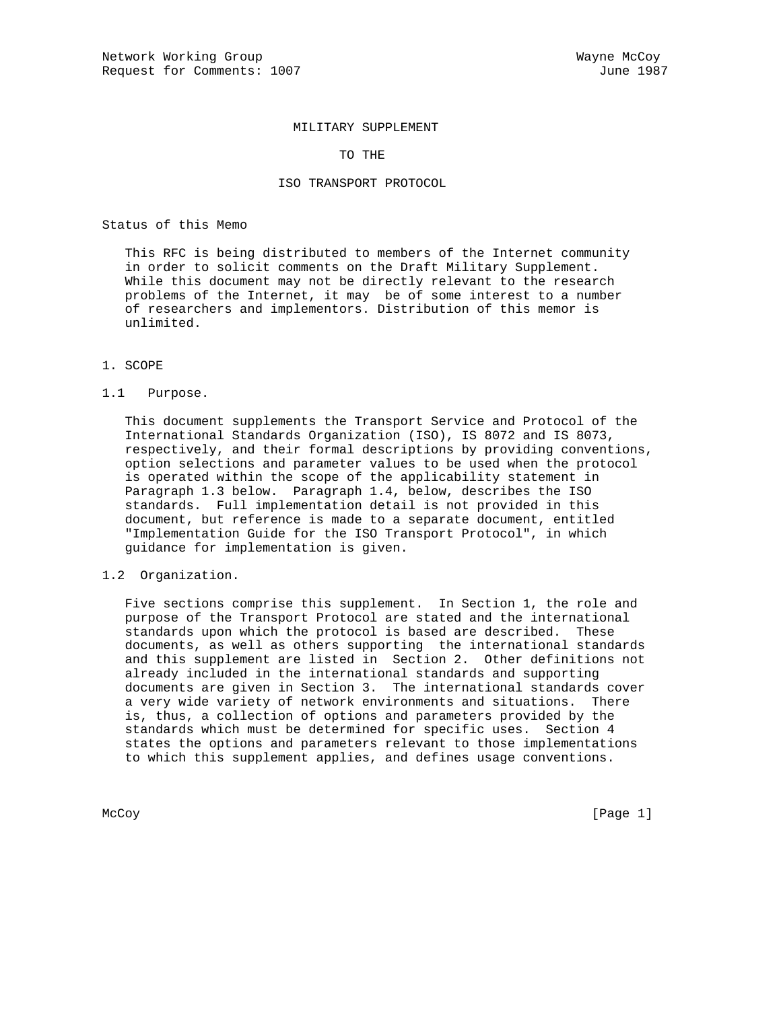#### MILITARY SUPPLEMENT

#### TO THE

### ISO TRANSPORT PROTOCOL

Status of this Memo

 This RFC is being distributed to members of the Internet community in order to solicit comments on the Draft Military Supplement. While this document may not be directly relevant to the research problems of the Internet, it may be of some interest to a number of researchers and implementors. Distribution of this memor is unlimited.

## 1. SCOPE

#### 1.1 Purpose.

 This document supplements the Transport Service and Protocol of the International Standards Organization (ISO), IS 8072 and IS 8073, respectively, and their formal descriptions by providing conventions, option selections and parameter values to be used when the protocol is operated within the scope of the applicability statement in Paragraph 1.3 below. Paragraph 1.4, below, describes the ISO standards. Full implementation detail is not provided in this document, but reference is made to a separate document, entitled "Implementation Guide for the ISO Transport Protocol", in which guidance for implementation is given.

1.2 Organization.

 Five sections comprise this supplement. In Section 1, the role and purpose of the Transport Protocol are stated and the international standards upon which the protocol is based are described. These documents, as well as others supporting the international standards and this supplement are listed in Section 2. Other definitions not already included in the international standards and supporting documents are given in Section 3. The international standards cover a very wide variety of network environments and situations. There is, thus, a collection of options and parameters provided by the standards which must be determined for specific uses. Section 4 states the options and parameters relevant to those implementations to which this supplement applies, and defines usage conventions.

McCoy [Page 1]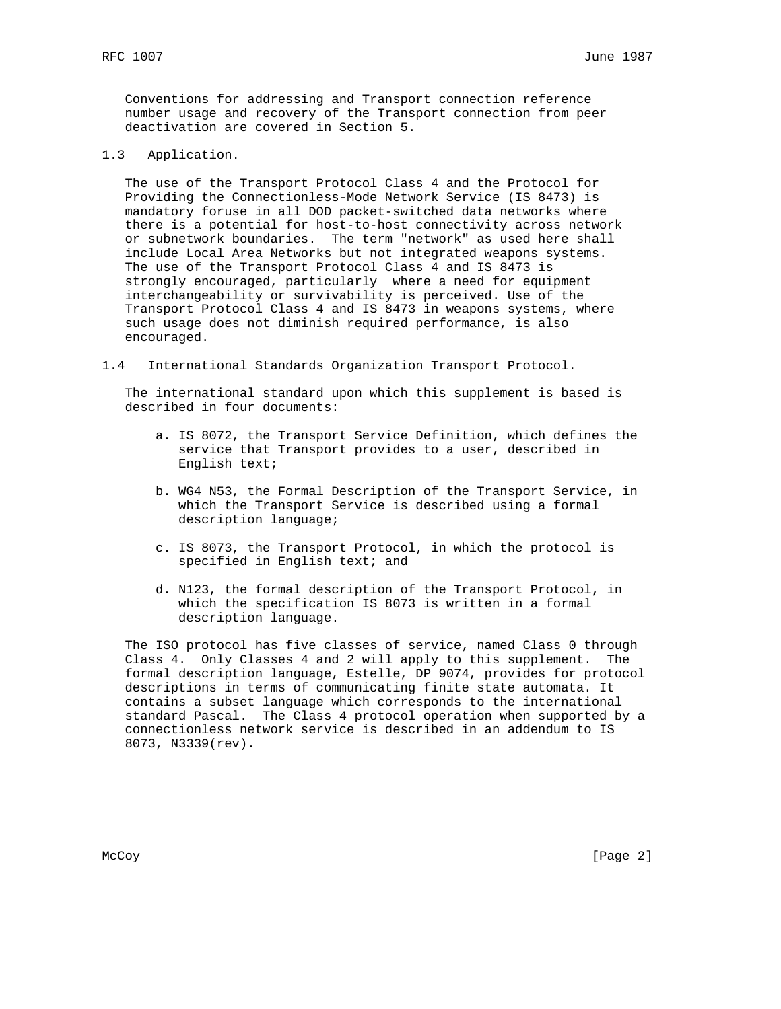Conventions for addressing and Transport connection reference number usage and recovery of the Transport connection from peer deactivation are covered in Section 5.

1.3 Application.

 The use of the Transport Protocol Class 4 and the Protocol for Providing the Connectionless-Mode Network Service (IS 8473) is mandatory foruse in all DOD packet-switched data networks where there is a potential for host-to-host connectivity across network or subnetwork boundaries. The term "network" as used here shall include Local Area Networks but not integrated weapons systems. The use of the Transport Protocol Class 4 and IS 8473 is strongly encouraged, particularly where a need for equipment interchangeability or survivability is perceived. Use of the Transport Protocol Class 4 and IS 8473 in weapons systems, where such usage does not diminish required performance, is also encouraged.

1.4 International Standards Organization Transport Protocol.

 The international standard upon which this supplement is based is described in four documents:

- a. IS 8072, the Transport Service Definition, which defines the service that Transport provides to a user, described in English text;
- b. WG4 N53, the Formal Description of the Transport Service, in which the Transport Service is described using a formal description language;
- c. IS 8073, the Transport Protocol, in which the protocol is specified in English text; and
- d. N123, the formal description of the Transport Protocol, in which the specification IS 8073 is written in a formal description language.

 The ISO protocol has five classes of service, named Class 0 through Class 4. Only Classes 4 and 2 will apply to this supplement. The formal description language, Estelle, DP 9074, provides for protocol descriptions in terms of communicating finite state automata. It contains a subset language which corresponds to the international standard Pascal. The Class 4 protocol operation when supported by a connectionless network service is described in an addendum to IS 8073, N3339(rev).

McCoy [Page 2]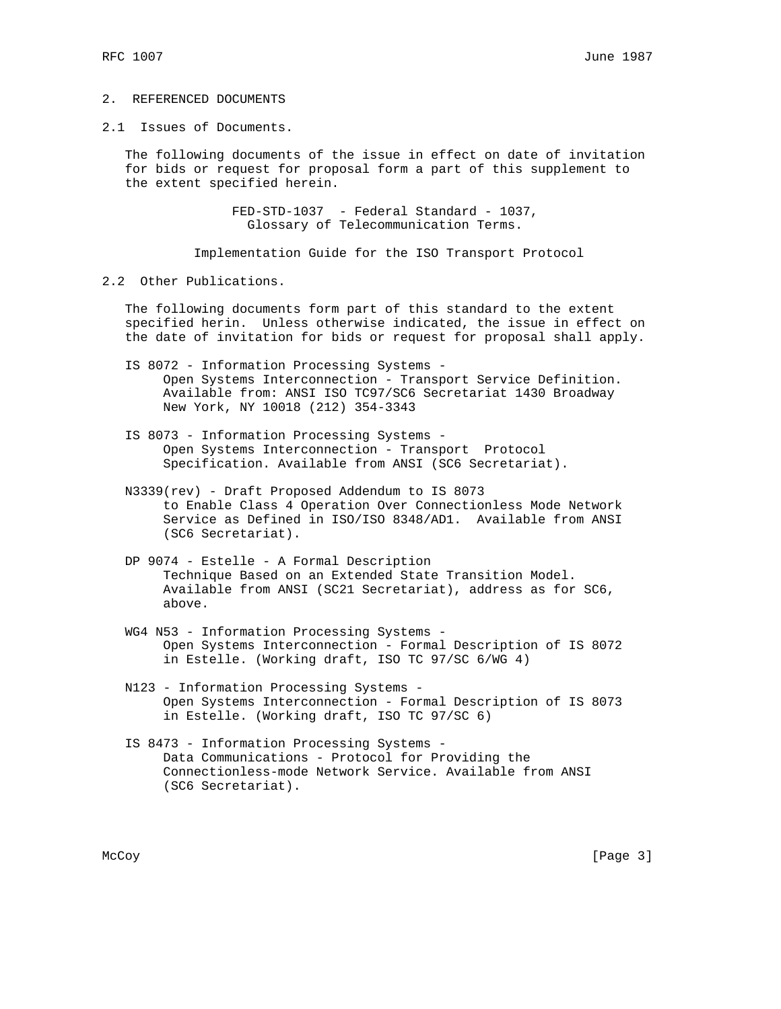# 2. REFERENCED DOCUMENTS

2.1 Issues of Documents.

 The following documents of the issue in effect on date of invitation for bids or request for proposal form a part of this supplement to the extent specified herein.

> FED-STD-1037 - Federal Standard - 1037, Glossary of Telecommunication Terms.

Implementation Guide for the ISO Transport Protocol

2.2 Other Publications.

 The following documents form part of this standard to the extent specified herin. Unless otherwise indicated, the issue in effect on the date of invitation for bids or request for proposal shall apply.

- IS 8072 Information Processing Systems Open Systems Interconnection - Transport Service Definition. Available from: ANSI ISO TC97/SC6 Secretariat 1430 Broadway New York, NY 10018 (212) 354-3343
- IS 8073 Information Processing Systems Open Systems Interconnection - Transport Protocol Specification. Available from ANSI (SC6 Secretariat).
- N3339(rev) Draft Proposed Addendum to IS 8073 to Enable Class 4 Operation Over Connectionless Mode Network Service as Defined in ISO/ISO 8348/AD1. Available from ANSI (SC6 Secretariat).
- DP 9074 Estelle A Formal Description Technique Based on an Extended State Transition Model. Available from ANSI (SC21 Secretariat), address as for SC6, above.
- WG4 N53 Information Processing Systems Open Systems Interconnection - Formal Description of IS 8072 in Estelle. (Working draft, ISO TC 97/SC 6/WG 4)
- N123 Information Processing Systems Open Systems Interconnection - Formal Description of IS 8073 in Estelle. (Working draft, ISO TC 97/SC 6)
- IS 8473 Information Processing Systems Data Communications - Protocol for Providing the Connectionless-mode Network Service. Available from ANSI (SC6 Secretariat).

McCoy [Page 3]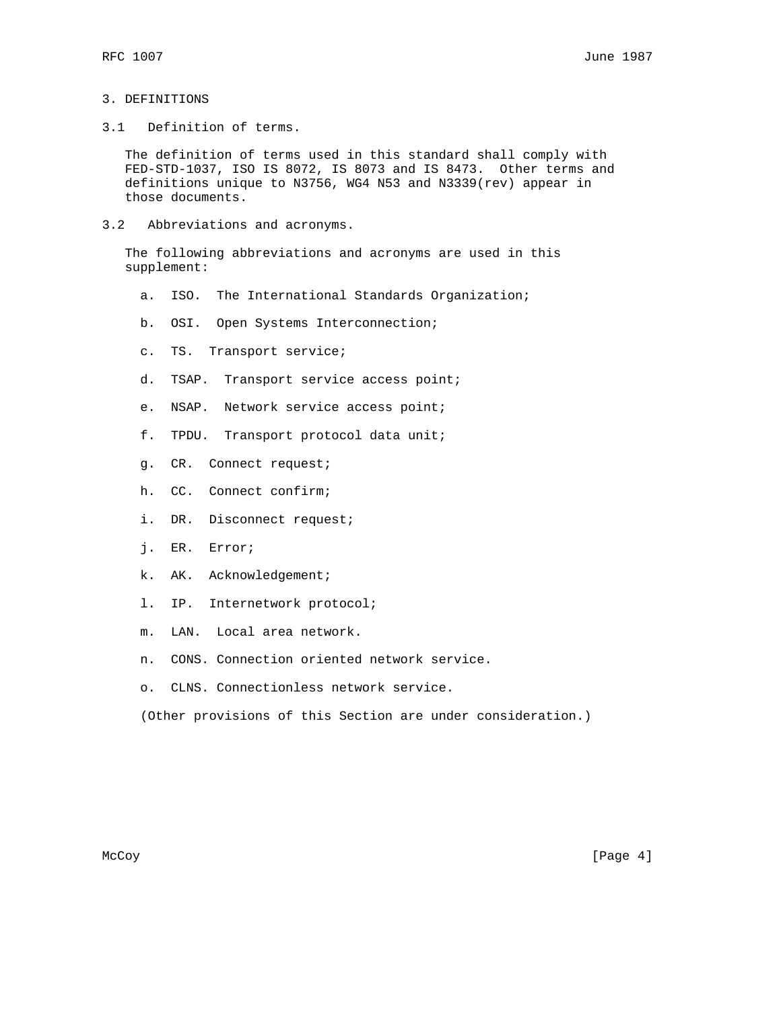# 3. DEFINITIONS

3.1 Definition of terms.

 The definition of terms used in this standard shall comply with FED-STD-1037, ISO IS 8072, IS 8073 and IS 8473. Other terms and definitions unique to N3756, WG4 N53 and N3339(rev) appear in those documents.

3.2 Abbreviations and acronyms.

 The following abbreviations and acronyms are used in this supplement:

- a. ISO. The International Standards Organization;
- b. OSI. Open Systems Interconnection;
- c. TS. Transport service;
- d. TSAP. Transport service access point;
- e. NSAP. Network service access point;
- f. TPDU. Transport protocol data unit;
- g. CR. Connect request;
- h. CC. Connect confirm;
- i. DR. Disconnect request;
- j. ER. Error;
- k. AK. Acknowledgement;
- l. IP. Internetwork protocol;
- m. LAN. Local area network.
- n. CONS. Connection oriented network service.
- o. CLNS. Connectionless network service.

(Other provisions of this Section are under consideration.)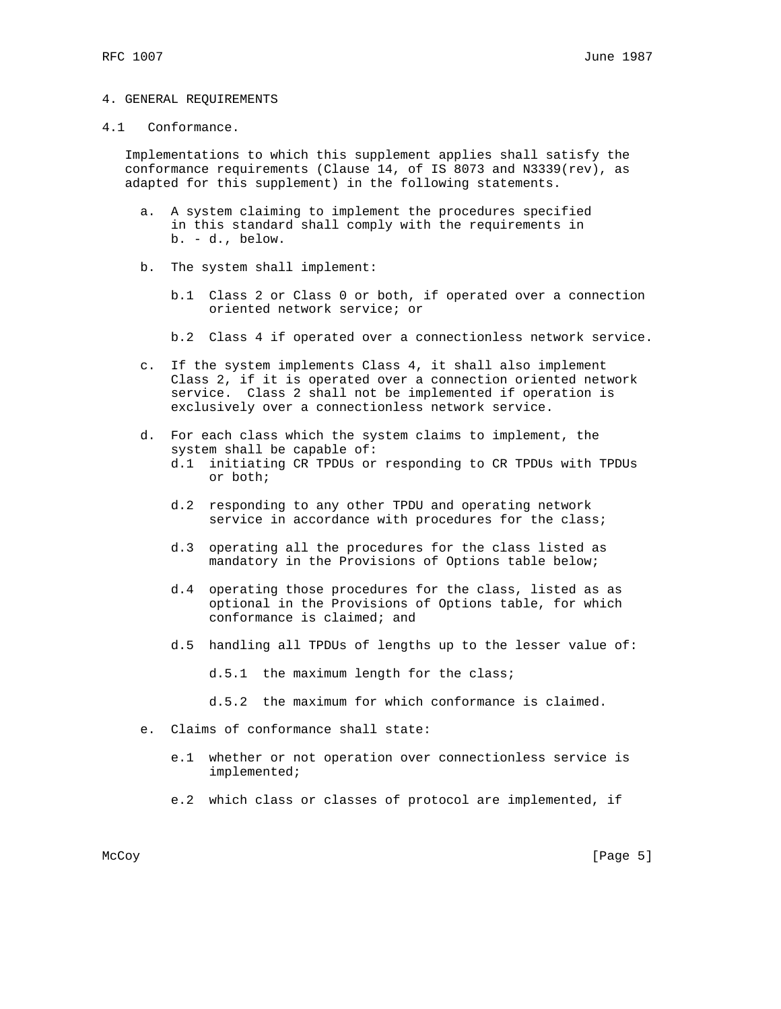#### 4. GENERAL REQUIREMENTS

#### 4.1 Conformance.

 Implementations to which this supplement applies shall satisfy the conformance requirements (Clause 14, of IS 8073 and N3339(rev), as adapted for this supplement) in the following statements.

- a. A system claiming to implement the procedures specified in this standard shall comply with the requirements in b. - d., below.
- b. The system shall implement:
	- b.1 Class 2 or Class 0 or both, if operated over a connection oriented network service; or
	- b.2 Class 4 if operated over a connectionless network service.
- c. If the system implements Class 4, it shall also implement Class 2, if it is operated over a connection oriented network service. Class 2 shall not be implemented if operation is exclusively over a connectionless network service.
- d. For each class which the system claims to implement, the system shall be capable of:
	- d.1 initiating CR TPDUs or responding to CR TPDUs with TPDUs or both;
	- d.2 responding to any other TPDU and operating network service in accordance with procedures for the class;
	- d.3 operating all the procedures for the class listed as mandatory in the Provisions of Options table below;
	- d.4 operating those procedures for the class, listed as as optional in the Provisions of Options table, for which conformance is claimed; and
	- d.5 handling all TPDUs of lengths up to the lesser value of:

d.5.1 the maximum length for the class;

- d.5.2 the maximum for which conformance is claimed.
- e. Claims of conformance shall state:
	- e.1 whether or not operation over connectionless service is implemented;
	- e.2 which class or classes of protocol are implemented, if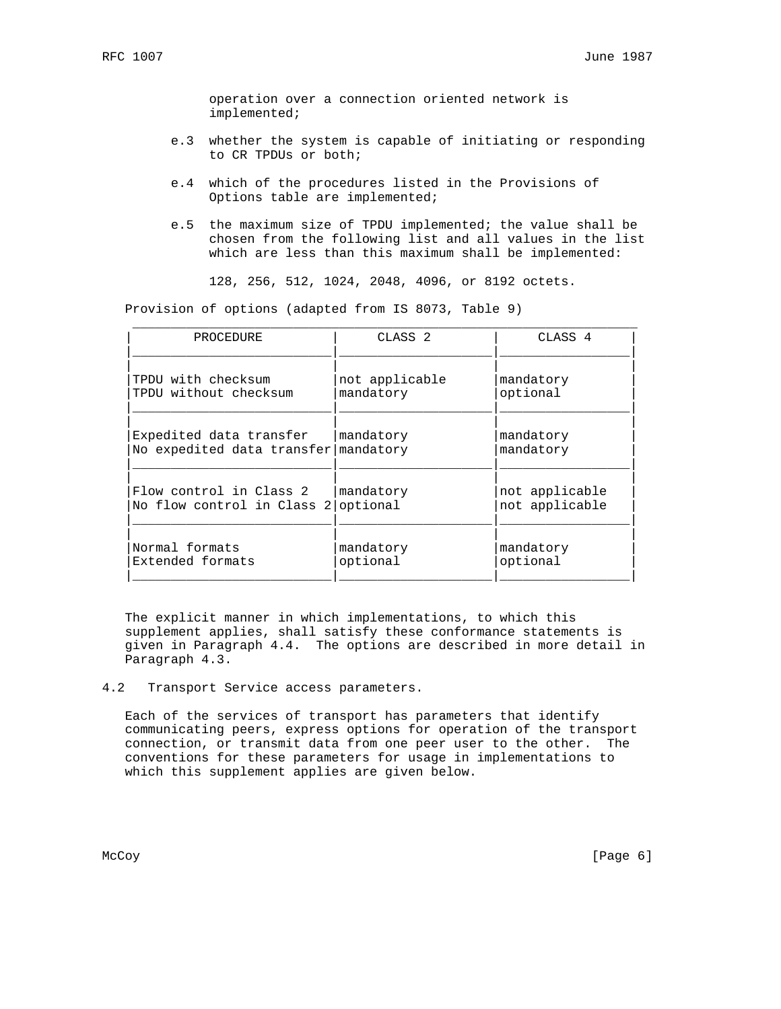operation over a connection oriented network is implemented;

- e.3 whether the system is capable of initiating or responding to CR TPDUs or both;
- e.4 which of the procedures listed in the Provisions of Options table are implemented;
- e.5 the maximum size of TPDU implemented; the value shall be chosen from the following list and all values in the list which are less than this maximum shall be implemented:

128, 256, 512, 1024, 2048, 4096, or 8192 octets.

Provision of options (adapted from IS 8073, Table 9)

| PROCEDURE                  | CLASS <sub>2</sub> | CLASS <sub>4</sub> |
|----------------------------|--------------------|--------------------|
| TPDU with checksum         | not applicable     | mandatory          |
| TPDU without checksum      | mandatory          | optional           |
| Expedited data transfer    | mandatory          | mandatory          |
| No expedited data transfer | mandatory          | mandatory          |
| Flow control in Class 2    | mandatory          | not applicable     |
| No flow control in Class 2 | optional           | not applicable     |
| Normal formats             | mandatory          | mandatory          |
| Extended formats           | optional           | optional           |

 The explicit manner in which implementations, to which this supplement applies, shall satisfy these conformance statements is given in Paragraph 4.4. The options are described in more detail in Paragraph 4.3.

## 4.2 Transport Service access parameters.

 Each of the services of transport has parameters that identify communicating peers, express options for operation of the transport connection, or transmit data from one peer user to the other. The conventions for these parameters for usage in implementations to which this supplement applies are given below.

McCoy [Page 6]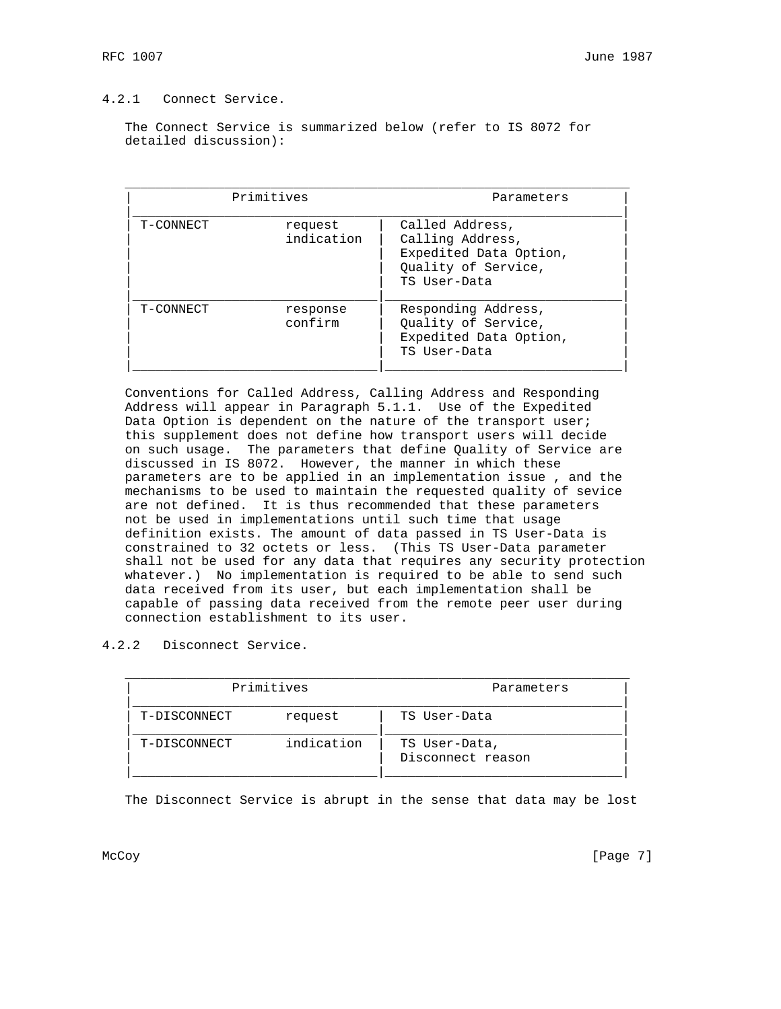# 4.2.1 Connect Service.

 The Connect Service is summarized below (refer to IS 8072 for detailed discussion):

| Primitives |                       | Parameters                                                                                           |  |
|------------|-----------------------|------------------------------------------------------------------------------------------------------|--|
| T-CONNECT  | request<br>indication | Called Address,<br>Calling Address,<br>Expedited Data Option,<br>Quality of Service,<br>TS User-Data |  |
| T-CONNECT  | response<br>confirm   | Responding Address,<br>Quality of Service,<br>Expedited Data Option,<br>TS User-Data                 |  |

 Conventions for Called Address, Calling Address and Responding Address will appear in Paragraph 5.1.1. Use of the Expedited Data Option is dependent on the nature of the transport user; this supplement does not define how transport users will decide on such usage. The parameters that define Quality of Service are discussed in IS 8072. However, the manner in which these parameters are to be applied in an implementation issue , and the mechanisms to be used to maintain the requested quality of sevice are not defined. It is thus recommended that these parameters not be used in implementations until such time that usage definition exists. The amount of data passed in TS User-Data is constrained to 32 octets or less. (This TS User-Data parameter shall not be used for any data that requires any security protection whatever.) No implementation is required to be able to send such data received from its user, but each implementation shall be capable of passing data received from the remote peer user during connection establishment to its user.

4.2.2 Disconnect Service.

| Primitives   |            | Parameters                         |  |
|--------------|------------|------------------------------------|--|
| T-DISCONNECT | request    | TS User-Data                       |  |
| T-DISCONNECT | indication | TS User-Data,<br>Disconnect reason |  |

The Disconnect Service is abrupt in the sense that data may be lost

McCoy [Page 7]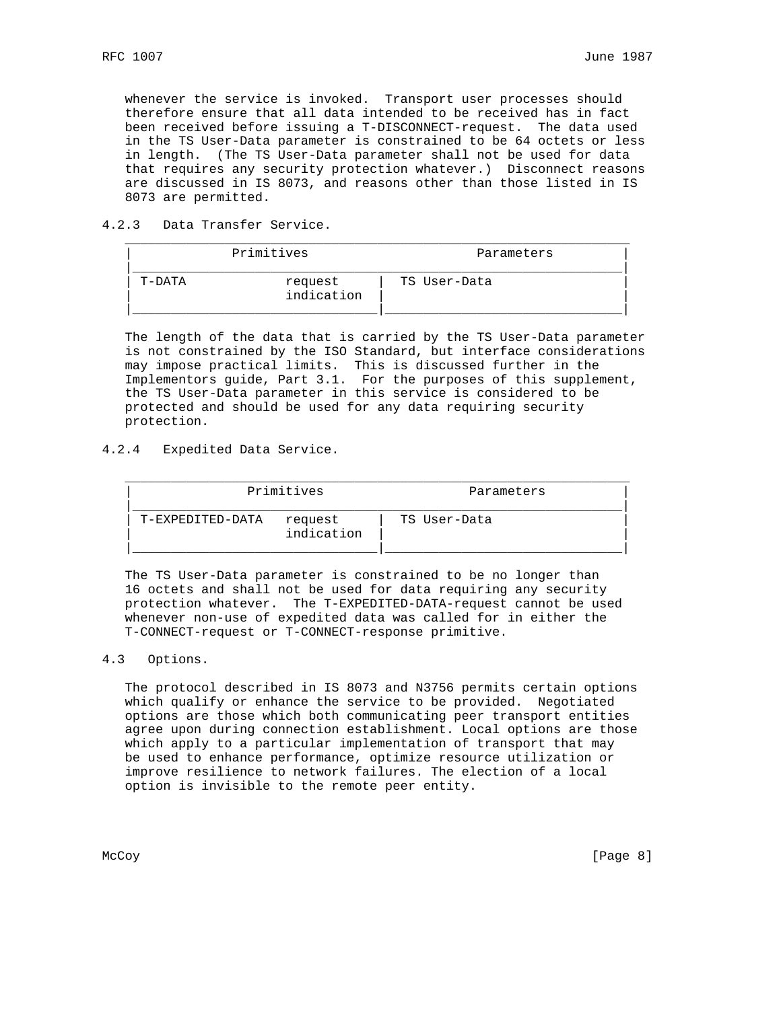whenever the service is invoked. Transport user processes should therefore ensure that all data intended to be received has in fact been received before issuing a T-DISCONNECT-request. The data used in the TS User-Data parameter is constrained to be 64 octets or less in length. (The TS User-Data parameter shall not be used for data that requires any security protection whatever.) Disconnect reasons are discussed in IS 8073, and reasons other than those listed in IS 8073 are permitted.

4.2.3 Data Transfer Service.

| Primitives |                       | Parameters   |  |
|------------|-----------------------|--------------|--|
| T-DATA     | request<br>indication | TS User-Data |  |

 The length of the data that is carried by the TS User-Data parameter is not constrained by the ISO Standard, but interface considerations may impose practical limits. This is discussed further in the Implementors guide, Part 3.1. For the purposes of this supplement, the TS User-Data parameter in this service is considered to be protected and should be used for any data requiring security protection.

4.2.4 Expedited Data Service.

| Primitives       |                       | Parameters   |  |
|------------------|-----------------------|--------------|--|
| T-EXPEDITED-DATA | request<br>indication | TS User-Data |  |

 The TS User-Data parameter is constrained to be no longer than 16 octets and shall not be used for data requiring any security protection whatever. The T-EXPEDITED-DATA-request cannot be used whenever non-use of expedited data was called for in either the T-CONNECT-request or T-CONNECT-response primitive.

## 4.3 Options.

 The protocol described in IS 8073 and N3756 permits certain options which qualify or enhance the service to be provided. Negotiated options are those which both communicating peer transport entities agree upon during connection establishment. Local options are those which apply to a particular implementation of transport that may be used to enhance performance, optimize resource utilization or improve resilience to network failures. The election of a local option is invisible to the remote peer entity.

McCoy [Page 8]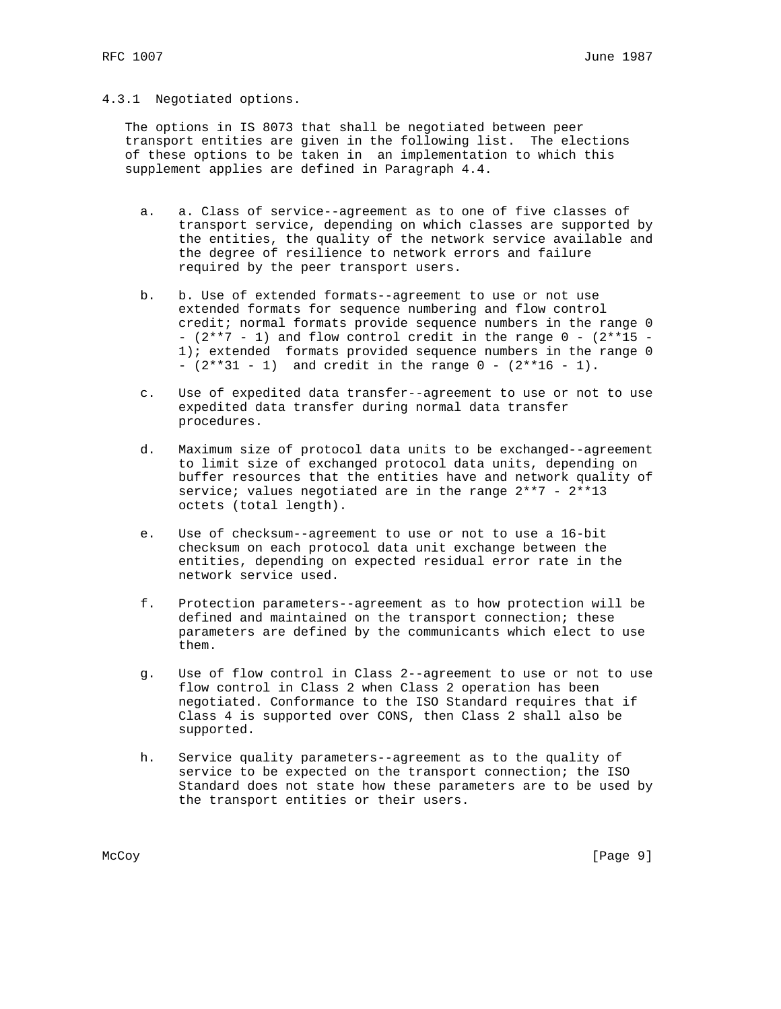## 4.3.1 Negotiated options.

 The options in IS 8073 that shall be negotiated between peer transport entities are given in the following list. The elections of these options to be taken in an implementation to which this supplement applies are defined in Paragraph 4.4.

- a. a. Class of service--agreement as to one of five classes of transport service, depending on which classes are supported by the entities, the quality of the network service available and the degree of resilience to network errors and failure required by the peer transport users.
- b. b. Use of extended formats--agreement to use or not use extended formats for sequence numbering and flow control credit; normal formats provide sequence numbers in the range 0 -  $(2**7 - 1)$  and flow control credit in the range  $0 - (2**15 - 1)$  1); extended formats provided sequence numbers in the range 0 -  $(2**31 - 1)$  and credit in the range  $0 - (2**16 - 1)$ .
- c. Use of expedited data transfer--agreement to use or not to use expedited data transfer during normal data transfer procedures.
- d. Maximum size of protocol data units to be exchanged--agreement to limit size of exchanged protocol data units, depending on buffer resources that the entities have and network quality of service; values negotiated are in the range 2\*\*7 - 2\*\*13 octets (total length).
- e. Use of checksum--agreement to use or not to use a 16-bit checksum on each protocol data unit exchange between the entities, depending on expected residual error rate in the network service used.
- f. Protection parameters--agreement as to how protection will be defined and maintained on the transport connection; these parameters are defined by the communicants which elect to use them.
- g. Use of flow control in Class 2--agreement to use or not to use flow control in Class 2 when Class 2 operation has been negotiated. Conformance to the ISO Standard requires that if Class 4 is supported over CONS, then Class 2 shall also be supported.
- h. Service quality parameters--agreement as to the quality of service to be expected on the transport connection; the ISO Standard does not state how these parameters are to be used by the transport entities or their users.

McCoy [Page 9]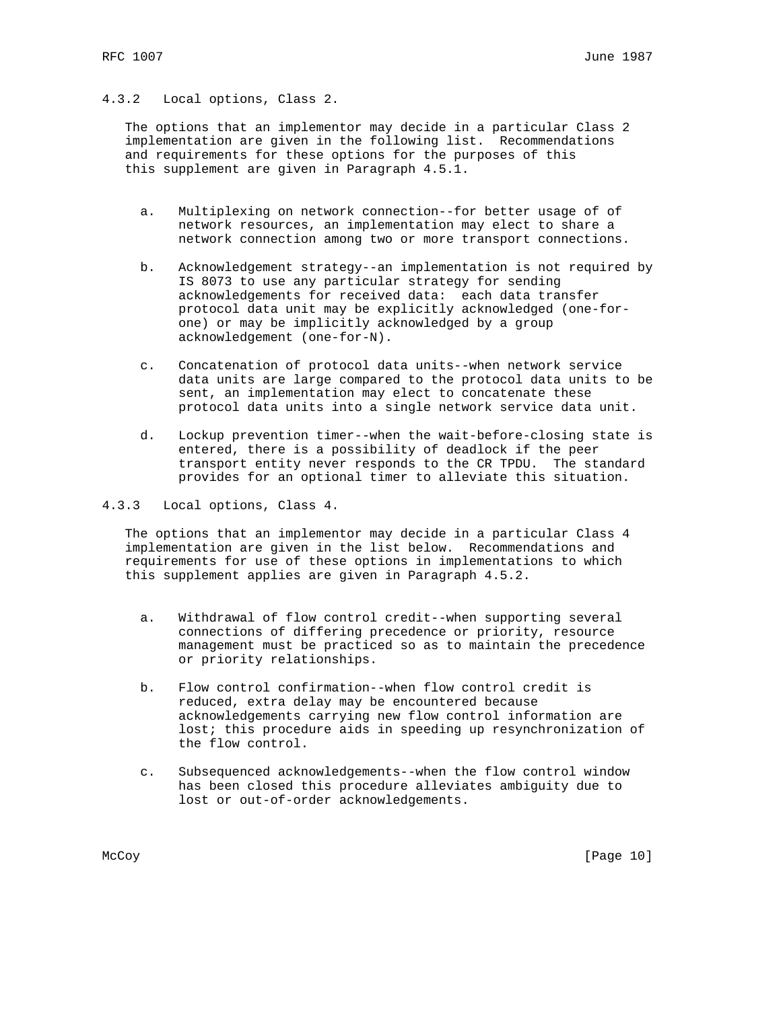# 4.3.2 Local options, Class 2.

 The options that an implementor may decide in a particular Class 2 implementation are given in the following list. Recommendations and requirements for these options for the purposes of this this supplement are given in Paragraph 4.5.1.

- a. Multiplexing on network connection--for better usage of of network resources, an implementation may elect to share a network connection among two or more transport connections.
- b. Acknowledgement strategy--an implementation is not required by IS 8073 to use any particular strategy for sending acknowledgements for received data: each data transfer protocol data unit may be explicitly acknowledged (one-for one) or may be implicitly acknowledged by a group acknowledgement (one-for-N).
- c. Concatenation of protocol data units--when network service data units are large compared to the protocol data units to be sent, an implementation may elect to concatenate these protocol data units into a single network service data unit.
- d. Lockup prevention timer--when the wait-before-closing state is entered, there is a possibility of deadlock if the peer transport entity never responds to the CR TPDU. The standard provides for an optional timer to alleviate this situation.
- 4.3.3 Local options, Class 4.

 The options that an implementor may decide in a particular Class 4 implementation are given in the list below. Recommendations and requirements for use of these options in implementations to which this supplement applies are given in Paragraph 4.5.2.

- a. Withdrawal of flow control credit--when supporting several connections of differing precedence or priority, resource management must be practiced so as to maintain the precedence or priority relationships.
- b. Flow control confirmation--when flow control credit is reduced, extra delay may be encountered because acknowledgements carrying new flow control information are lost; this procedure aids in speeding up resynchronization of the flow control.
- c. Subsequenced acknowledgements--when the flow control window has been closed this procedure alleviates ambiguity due to lost or out-of-order acknowledgements.

McCoy [Page 10]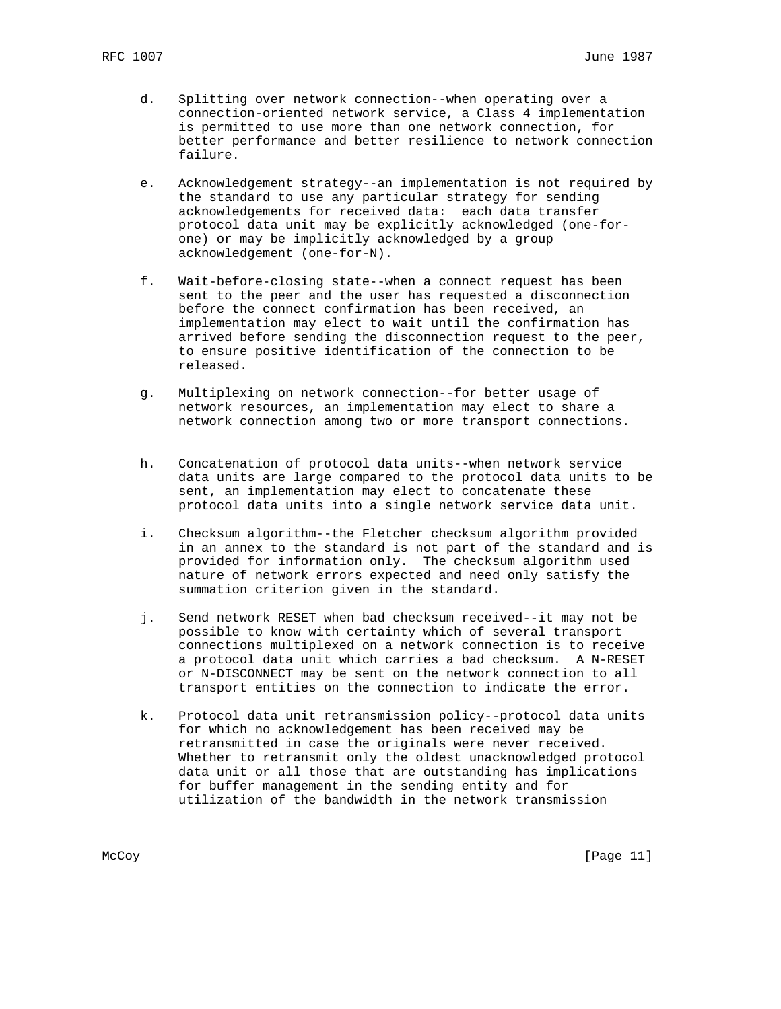- d. Splitting over network connection--when operating over a connection-oriented network service, a Class 4 implementation is permitted to use more than one network connection, for better performance and better resilience to network connection failure.
- e. Acknowledgement strategy--an implementation is not required by the standard to use any particular strategy for sending acknowledgements for received data: each data transfer protocol data unit may be explicitly acknowledged (one-for one) or may be implicitly acknowledged by a group acknowledgement (one-for-N).
- f. Wait-before-closing state--when a connect request has been sent to the peer and the user has requested a disconnection before the connect confirmation has been received, an implementation may elect to wait until the confirmation has arrived before sending the disconnection request to the peer, to ensure positive identification of the connection to be released.
- g. Multiplexing on network connection--for better usage of network resources, an implementation may elect to share a network connection among two or more transport connections.
- h. Concatenation of protocol data units--when network service data units are large compared to the protocol data units to be sent, an implementation may elect to concatenate these protocol data units into a single network service data unit.
- i. Checksum algorithm--the Fletcher checksum algorithm provided in an annex to the standard is not part of the standard and is provided for information only. The checksum algorithm used nature of network errors expected and need only satisfy the summation criterion given in the standard.
- j. Send network RESET when bad checksum received--it may not be possible to know with certainty which of several transport connections multiplexed on a network connection is to receive a protocol data unit which carries a bad checksum. A N-RESET or N-DISCONNECT may be sent on the network connection to all transport entities on the connection to indicate the error.
- k. Protocol data unit retransmission policy--protocol data units for which no acknowledgement has been received may be retransmitted in case the originals were never received. Whether to retransmit only the oldest unacknowledged protocol data unit or all those that are outstanding has implications for buffer management in the sending entity and for utilization of the bandwidth in the network transmission

McCoy [Page 11]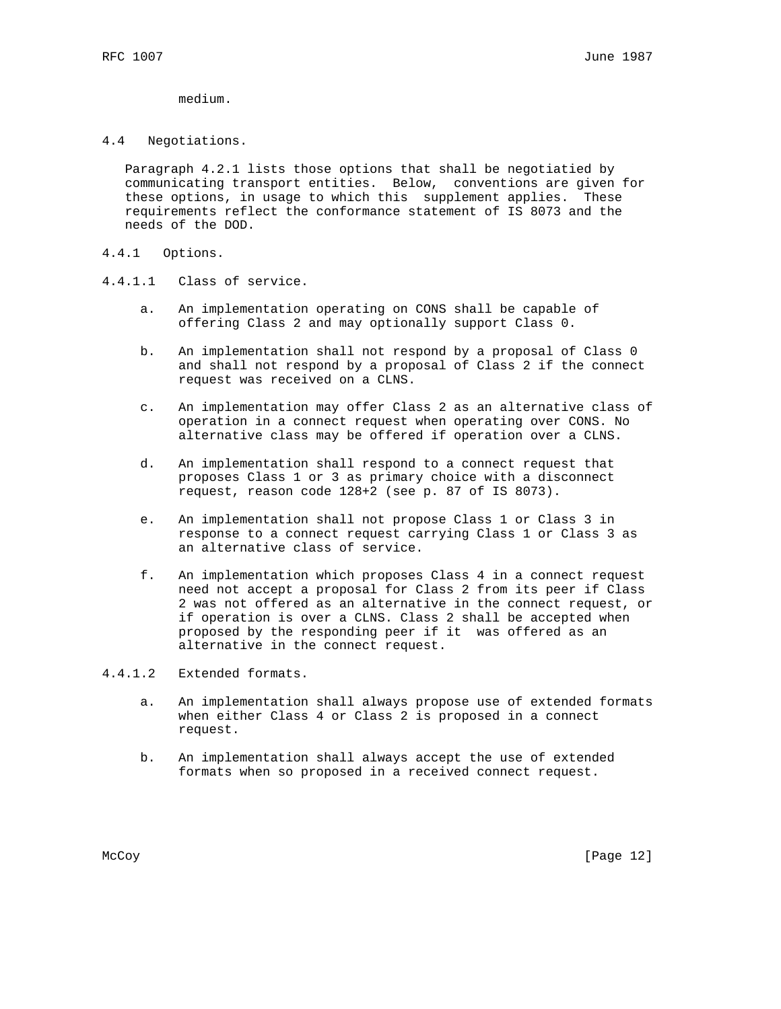medium.

#### 4.4 Negotiations.

 Paragraph 4.2.1 lists those options that shall be negotiatied by communicating transport entities. Below, conventions are given for these options, in usage to which this supplement applies. These requirements reflect the conformance statement of IS 8073 and the needs of the DOD.

- 4.4.1 Options.
- 4.4.1.1 Class of service.
	- a. An implementation operating on CONS shall be capable of offering Class 2 and may optionally support Class 0.
	- b. An implementation shall not respond by a proposal of Class 0 and shall not respond by a proposal of Class 2 if the connect request was received on a CLNS.
	- c. An implementation may offer Class 2 as an alternative class of operation in a connect request when operating over CONS. No alternative class may be offered if operation over a CLNS.
	- d. An implementation shall respond to a connect request that proposes Class 1 or 3 as primary choice with a disconnect request, reason code 128+2 (see p. 87 of IS 8073).
	- e. An implementation shall not propose Class 1 or Class 3 in response to a connect request carrying Class 1 or Class 3 as an alternative class of service.
	- f. An implementation which proposes Class 4 in a connect request need not accept a proposal for Class 2 from its peer if Class 2 was not offered as an alternative in the connect request, or if operation is over a CLNS. Class 2 shall be accepted when proposed by the responding peer if it was offered as an alternative in the connect request.
- 4.4.1.2 Extended formats.
	- a. An implementation shall always propose use of extended formats when either Class 4 or Class 2 is proposed in a connect request.
	- b. An implementation shall always accept the use of extended formats when so proposed in a received connect request.

McCoy [Page 12]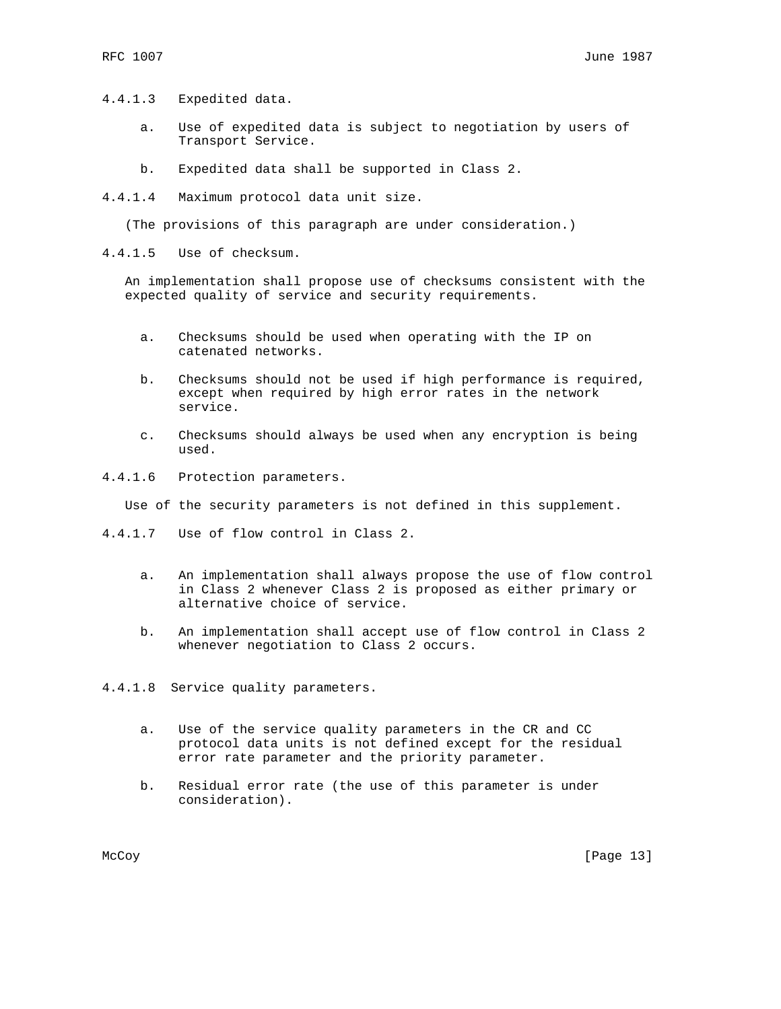- 4.4.1.3 Expedited data.
	- a. Use of expedited data is subject to negotiation by users of Transport Service.
	- b. Expedited data shall be supported in Class 2.
- 4.4.1.4 Maximum protocol data unit size.

(The provisions of this paragraph are under consideration.)

4.4.1.5 Use of checksum.

 An implementation shall propose use of checksums consistent with the expected quality of service and security requirements.

- a. Checksums should be used when operating with the IP on catenated networks.
- b. Checksums should not be used if high performance is required, except when required by high error rates in the network service.
- c. Checksums should always be used when any encryption is being used.
- 4.4.1.6 Protection parameters.

Use of the security parameters is not defined in this supplement.

- 4.4.1.7 Use of flow control in Class 2.
	- a. An implementation shall always propose the use of flow control in Class 2 whenever Class 2 is proposed as either primary or alternative choice of service.
	- b. An implementation shall accept use of flow control in Class 2 whenever negotiation to Class 2 occurs.
- 4.4.1.8 Service quality parameters.
	- a. Use of the service quality parameters in the CR and CC protocol data units is not defined except for the residual error rate parameter and the priority parameter.
	- b. Residual error rate (the use of this parameter is under consideration).

McCoy [Page 13]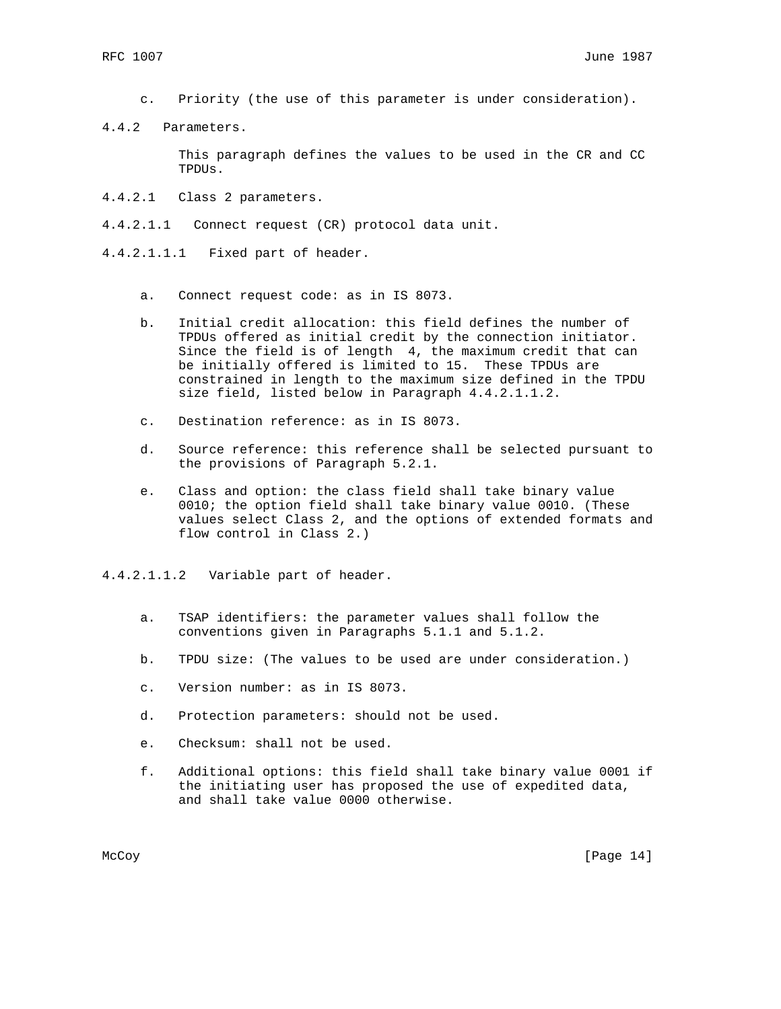- c. Priority (the use of this parameter is under consideration).
- 4.4.2 Parameters.

 This paragraph defines the values to be used in the CR and CC TPDUs.

- 4.4.2.1 Class 2 parameters.
- 4.4.2.1.1 Connect request (CR) protocol data unit.
- 4.4.2.1.1.1 Fixed part of header.
	- a. Connect request code: as in IS 8073.
	- b. Initial credit allocation: this field defines the number of TPDUs offered as initial credit by the connection initiator. Since the field is of length 4, the maximum credit that can be initially offered is limited to 15. These TPDUs are constrained in length to the maximum size defined in the TPDU size field, listed below in Paragraph 4.4.2.1.1.2.
	- c. Destination reference: as in IS 8073.
	- d. Source reference: this reference shall be selected pursuant to the provisions of Paragraph 5.2.1.
	- e. Class and option: the class field shall take binary value 0010; the option field shall take binary value 0010. (These values select Class 2, and the options of extended formats and flow control in Class 2.)
- 4.4.2.1.1.2 Variable part of header.
	- a. TSAP identifiers: the parameter values shall follow the conventions given in Paragraphs 5.1.1 and 5.1.2.
	- b. TPDU size: (The values to be used are under consideration.)
	- c. Version number: as in IS 8073.
	- d. Protection parameters: should not be used.
	- e. Checksum: shall not be used.
	- f. Additional options: this field shall take binary value 0001 if the initiating user has proposed the use of expedited data, and shall take value 0000 otherwise.

McCoy [Page 14]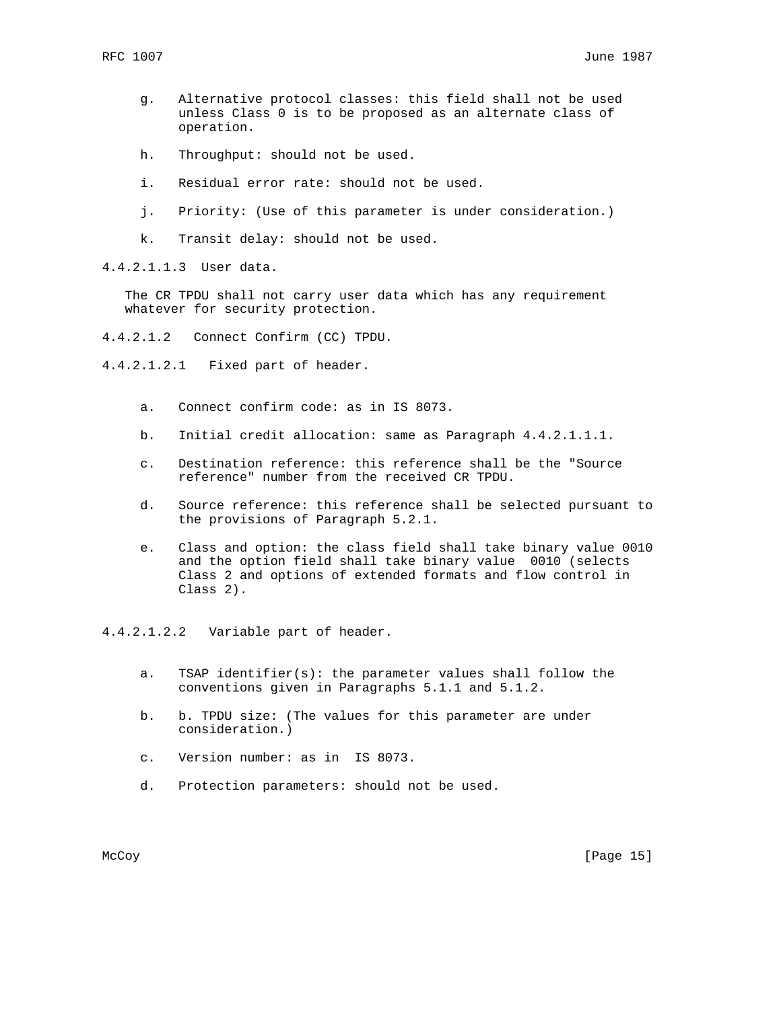- g. Alternative protocol classes: this field shall not be used unless Class 0 is to be proposed as an alternate class of operation.
- h. Throughput: should not be used.
- i. Residual error rate: should not be used.
- j. Priority: (Use of this parameter is under consideration.)
- k. Transit delay: should not be used.

4.4.2.1.1.3 User data.

 The CR TPDU shall not carry user data which has any requirement whatever for security protection.

4.4.2.1.2 Connect Confirm (CC) TPDU.

4.4.2.1.2.1 Fixed part of header.

- a. Connect confirm code: as in IS 8073.
- b. Initial credit allocation: same as Paragraph 4.4.2.1.1.1.
- c. Destination reference: this reference shall be the "Source reference" number from the received CR TPDU.
- d. Source reference: this reference shall be selected pursuant to the provisions of Paragraph 5.2.1.
- e. Class and option: the class field shall take binary value 0010 and the option field shall take binary value 0010 (selects Class 2 and options of extended formats and flow control in Class 2).

4.4.2.1.2.2 Variable part of header.

- a. TSAP identifier(s): the parameter values shall follow the conventions given in Paragraphs 5.1.1 and 5.1.2.
- b. b. TPDU size: (The values for this parameter are under consideration.)
- c. Version number: as in IS 8073.
- d. Protection parameters: should not be used.

McCoy [Page 15]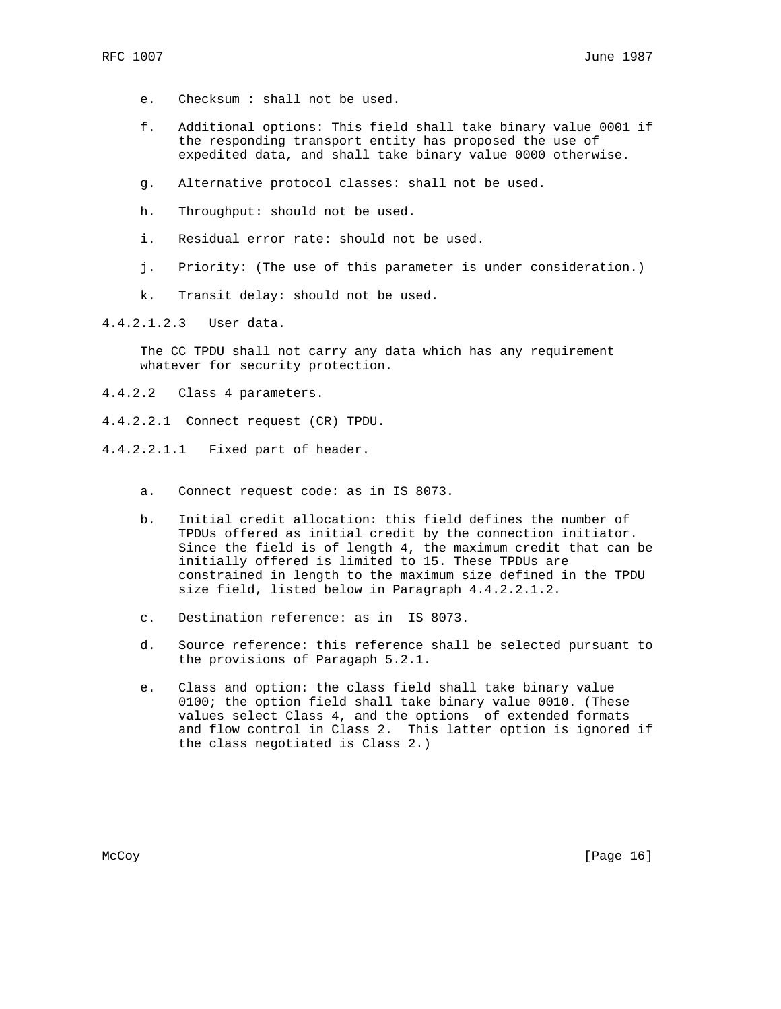- e. Checksum : shall not be used.
- f. Additional options: This field shall take binary value 0001 if the responding transport entity has proposed the use of expedited data, and shall take binary value 0000 otherwise.
- g. Alternative protocol classes: shall not be used.
- h. Throughput: should not be used.
- i. Residual error rate: should not be used.
- j. Priority: (The use of this parameter is under consideration.)
- k. Transit delay: should not be used.

4.4.2.1.2.3 User data.

 The CC TPDU shall not carry any data which has any requirement whatever for security protection.

- 4.4.2.2 Class 4 parameters.
- 4.4.2.2.1 Connect request (CR) TPDU.
- 4.4.2.2.1.1 Fixed part of header.
	- a. Connect request code: as in IS 8073.
	- b. Initial credit allocation: this field defines the number of TPDUs offered as initial credit by the connection initiator. Since the field is of length 4, the maximum credit that can be initially offered is limited to 15. These TPDUs are constrained in length to the maximum size defined in the TPDU size field, listed below in Paragraph 4.4.2.2.1.2.
	- c. Destination reference: as in IS 8073.
	- d. Source reference: this reference shall be selected pursuant to the provisions of Paragaph 5.2.1.
	- e. Class and option: the class field shall take binary value 0100; the option field shall take binary value 0010. (These values select Class 4, and the options of extended formats and flow control in Class 2. This latter option is ignored if the class negotiated is Class 2.)

McCoy [Page 16]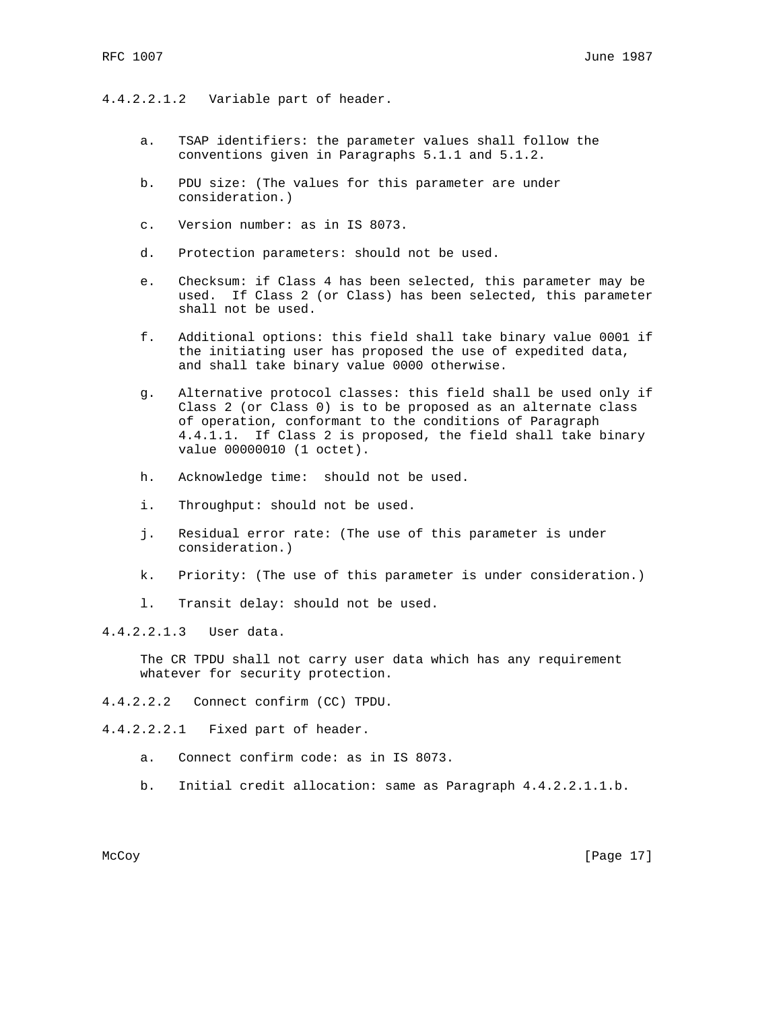#### 4.4.2.2.1.2 Variable part of header.

- a. TSAP identifiers: the parameter values shall follow the conventions given in Paragraphs 5.1.1 and 5.1.2.
- b. PDU size: (The values for this parameter are under consideration.)
- c. Version number: as in IS 8073.
- d. Protection parameters: should not be used.
- e. Checksum: if Class 4 has been selected, this parameter may be used. If Class 2 (or Class) has been selected, this parameter shall not be used.
- f. Additional options: this field shall take binary value 0001 if the initiating user has proposed the use of expedited data, and shall take binary value 0000 otherwise.
- g. Alternative protocol classes: this field shall be used only if Class 2 (or Class 0) is to be proposed as an alternate class of operation, conformant to the conditions of Paragraph 4.4.1.1. If Class 2 is proposed, the field shall take binary value 00000010 (1 octet).
- h. Acknowledge time: should not be used.
- i. Throughput: should not be used.
- j. Residual error rate: (The use of this parameter is under consideration.)
- k. Priority: (The use of this parameter is under consideration.)
- l. Transit delay: should not be used.

4.4.2.2.1.3 User data.

 The CR TPDU shall not carry user data which has any requirement whatever for security protection.

4.4.2.2.2 Connect confirm (CC) TPDU.

4.4.2.2.2.1 Fixed part of header.

- a. Connect confirm code: as in IS 8073.
- b. Initial credit allocation: same as Paragraph 4.4.2.2.1.1.b.

McCoy [Page 17]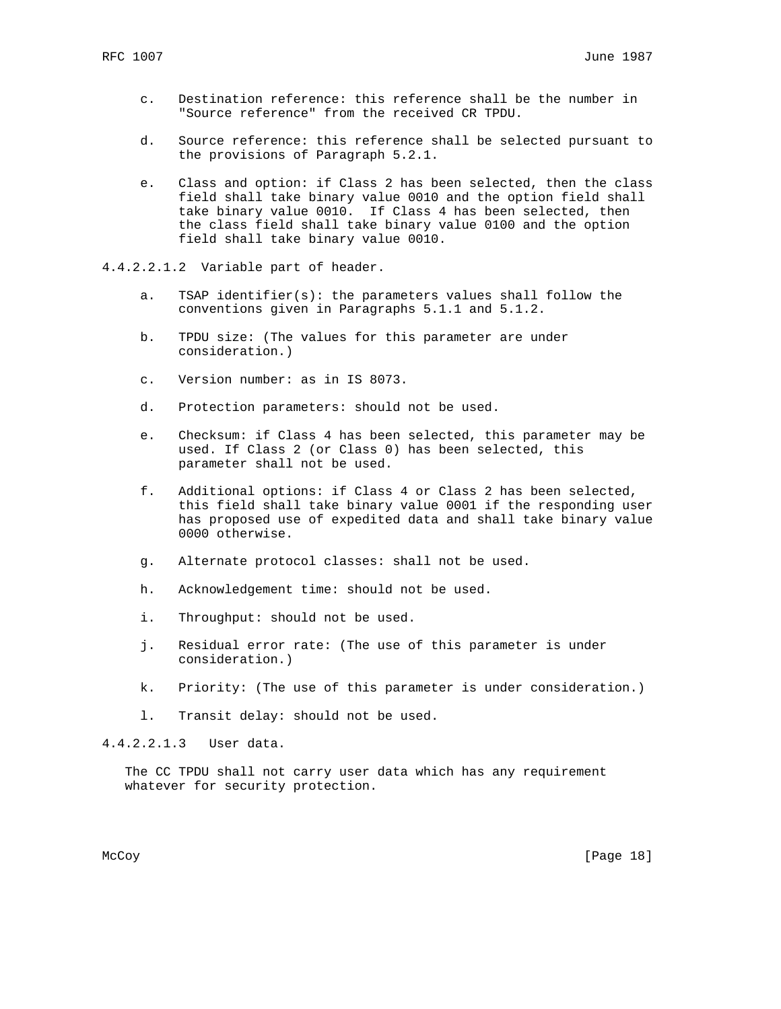- c. Destination reference: this reference shall be the number in "Source reference" from the received CR TPDU.
- d. Source reference: this reference shall be selected pursuant to the provisions of Paragraph 5.2.1.
- e. Class and option: if Class 2 has been selected, then the class field shall take binary value 0010 and the option field shall take binary value 0010. If Class 4 has been selected, then the class field shall take binary value 0100 and the option field shall take binary value 0010.
- 4.4.2.2.1.2 Variable part of header.
	- a. TSAP identifier(s): the parameters values shall follow the conventions given in Paragraphs 5.1.1 and 5.1.2.
	- b. TPDU size: (The values for this parameter are under consideration.)
	- c. Version number: as in IS 8073.
	- d. Protection parameters: should not be used.
	- e. Checksum: if Class 4 has been selected, this parameter may be used. If Class 2 (or Class 0) has been selected, this parameter shall not be used.
	- f. Additional options: if Class 4 or Class 2 has been selected, this field shall take binary value 0001 if the responding user has proposed use of expedited data and shall take binary value 0000 otherwise.
	- g. Alternate protocol classes: shall not be used.
	- h. Acknowledgement time: should not be used.
	- i. Throughput: should not be used.
	- j. Residual error rate: (The use of this parameter is under consideration.)
	- k. Priority: (The use of this parameter is under consideration.)
	- l. Transit delay: should not be used.

4.4.2.2.1.3 User data.

 The CC TPDU shall not carry user data which has any requirement whatever for security protection.

McCoy [Page 18]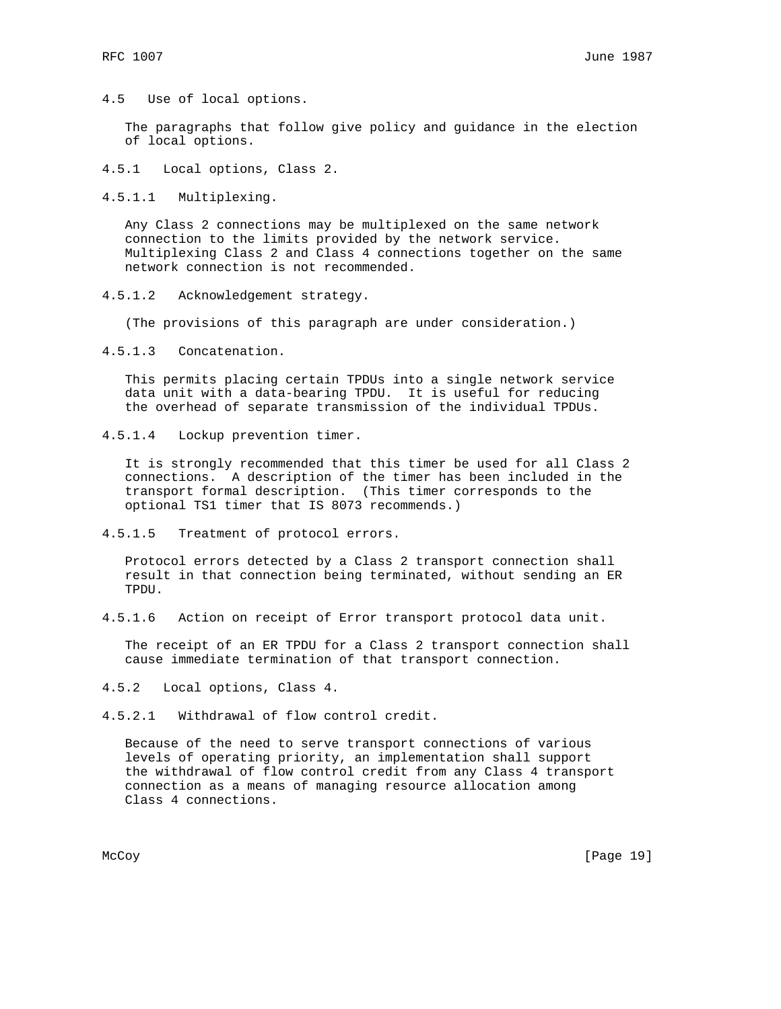4.5 Use of local options.

 The paragraphs that follow give policy and guidance in the election of local options.

4.5.1 Local options, Class 2.

4.5.1.1 Multiplexing.

 Any Class 2 connections may be multiplexed on the same network connection to the limits provided by the network service. Multiplexing Class 2 and Class 4 connections together on the same network connection is not recommended.

4.5.1.2 Acknowledgement strategy.

(The provisions of this paragraph are under consideration.)

4.5.1.3 Concatenation.

 This permits placing certain TPDUs into a single network service data unit with a data-bearing TPDU. It is useful for reducing the overhead of separate transmission of the individual TPDUs.

4.5.1.4 Lockup prevention timer.

 It is strongly recommended that this timer be used for all Class 2 connections. A description of the timer has been included in the transport formal description. (This timer corresponds to the optional TS1 timer that IS 8073 recommends.)

4.5.1.5 Treatment of protocol errors.

 Protocol errors detected by a Class 2 transport connection shall result in that connection being terminated, without sending an ER TPDU.

4.5.1.6 Action on receipt of Error transport protocol data unit.

 The receipt of an ER TPDU for a Class 2 transport connection shall cause immediate termination of that transport connection.

4.5.2 Local options, Class 4.

4.5.2.1 Withdrawal of flow control credit.

 Because of the need to serve transport connections of various levels of operating priority, an implementation shall support the withdrawal of flow control credit from any Class 4 transport connection as a means of managing resource allocation among Class 4 connections.

McCoy [Page 19]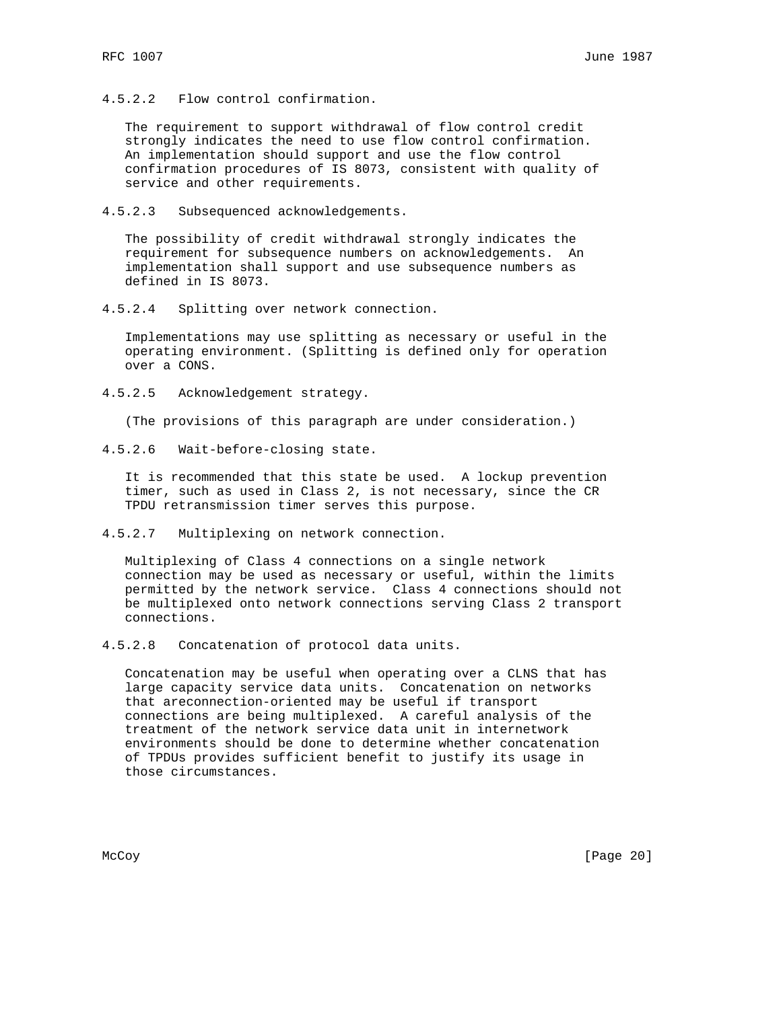4.5.2.2 Flow control confirmation.

 The requirement to support withdrawal of flow control credit strongly indicates the need to use flow control confirmation. An implementation should support and use the flow control confirmation procedures of IS 8073, consistent with quality of service and other requirements.

4.5.2.3 Subsequenced acknowledgements.

 The possibility of credit withdrawal strongly indicates the requirement for subsequence numbers on acknowledgements. An implementation shall support and use subsequence numbers as defined in IS 8073.

4.5.2.4 Splitting over network connection.

 Implementations may use splitting as necessary or useful in the operating environment. (Splitting is defined only for operation over a CONS.

4.5.2.5 Acknowledgement strategy.

(The provisions of this paragraph are under consideration.)

4.5.2.6 Wait-before-closing state.

 It is recommended that this state be used. A lockup prevention timer, such as used in Class 2, is not necessary, since the CR TPDU retransmission timer serves this purpose.

4.5.2.7 Multiplexing on network connection.

 Multiplexing of Class 4 connections on a single network connection may be used as necessary or useful, within the limits permitted by the network service. Class 4 connections should not be multiplexed onto network connections serving Class 2 transport connections.

4.5.2.8 Concatenation of protocol data units.

 Concatenation may be useful when operating over a CLNS that has large capacity service data units. Concatenation on networks that areconnection-oriented may be useful if transport connections are being multiplexed. A careful analysis of the treatment of the network service data unit in internetwork environments should be done to determine whether concatenation of TPDUs provides sufficient benefit to justify its usage in those circumstances.

McCoy [Page 20]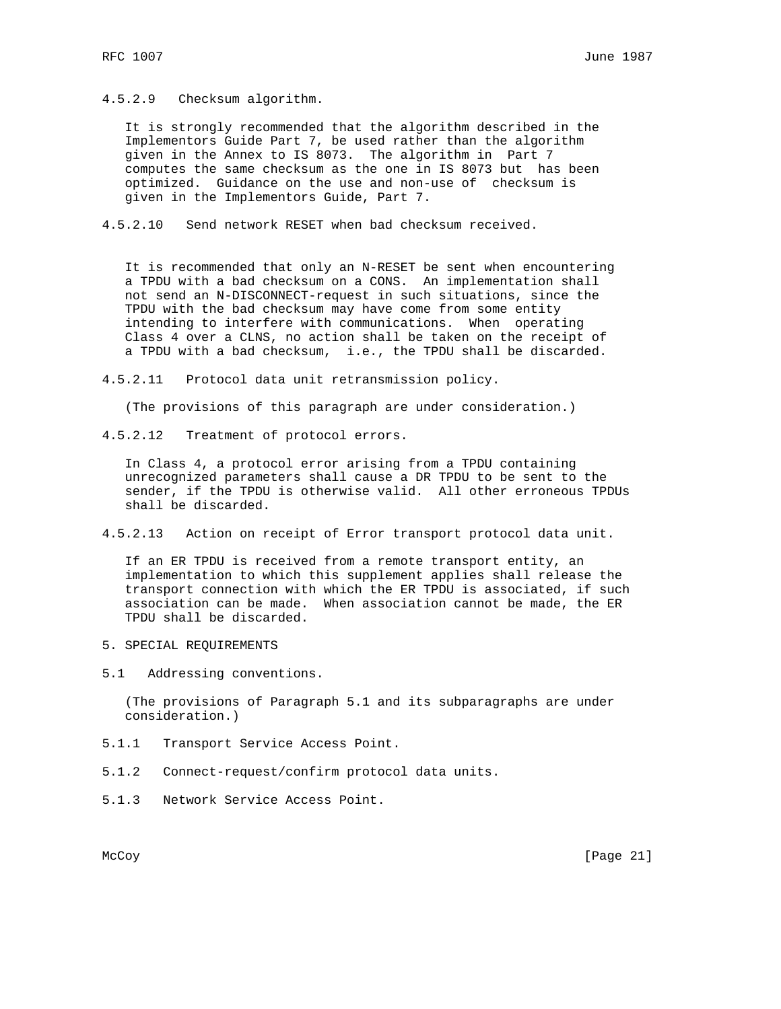4.5.2.9 Checksum algorithm.

 It is strongly recommended that the algorithm described in the Implementors Guide Part 7, be used rather than the algorithm given in the Annex to IS 8073. The algorithm in Part 7 computes the same checksum as the one in IS 8073 but has been optimized. Guidance on the use and non-use of checksum is given in the Implementors Guide, Part 7.

4.5.2.10 Send network RESET when bad checksum received.

 It is recommended that only an N-RESET be sent when encountering a TPDU with a bad checksum on a CONS. An implementation shall not send an N-DISCONNECT-request in such situations, since the TPDU with the bad checksum may have come from some entity intending to interfere with communications. When operating Class 4 over a CLNS, no action shall be taken on the receipt of a TPDU with a bad checksum, i.e., the TPDU shall be discarded.

4.5.2.11 Protocol data unit retransmission policy.

(The provisions of this paragraph are under consideration.)

4.5.2.12 Treatment of protocol errors.

 In Class 4, a protocol error arising from a TPDU containing unrecognized parameters shall cause a DR TPDU to be sent to the sender, if the TPDU is otherwise valid. All other erroneous TPDUs shall be discarded.

4.5.2.13 Action on receipt of Error transport protocol data unit.

 If an ER TPDU is received from a remote transport entity, an implementation to which this supplement applies shall release the transport connection with which the ER TPDU is associated, if such association can be made. When association cannot be made, the ER TPDU shall be discarded.

5. SPECIAL REQUIREMENTS

5.1 Addressing conventions.

 (The provisions of Paragraph 5.1 and its subparagraphs are under consideration.)

- 5.1.1 Transport Service Access Point.
- 5.1.2 Connect-request/confirm protocol data units.
- 5.1.3 Network Service Access Point.

McCoy [Page 21]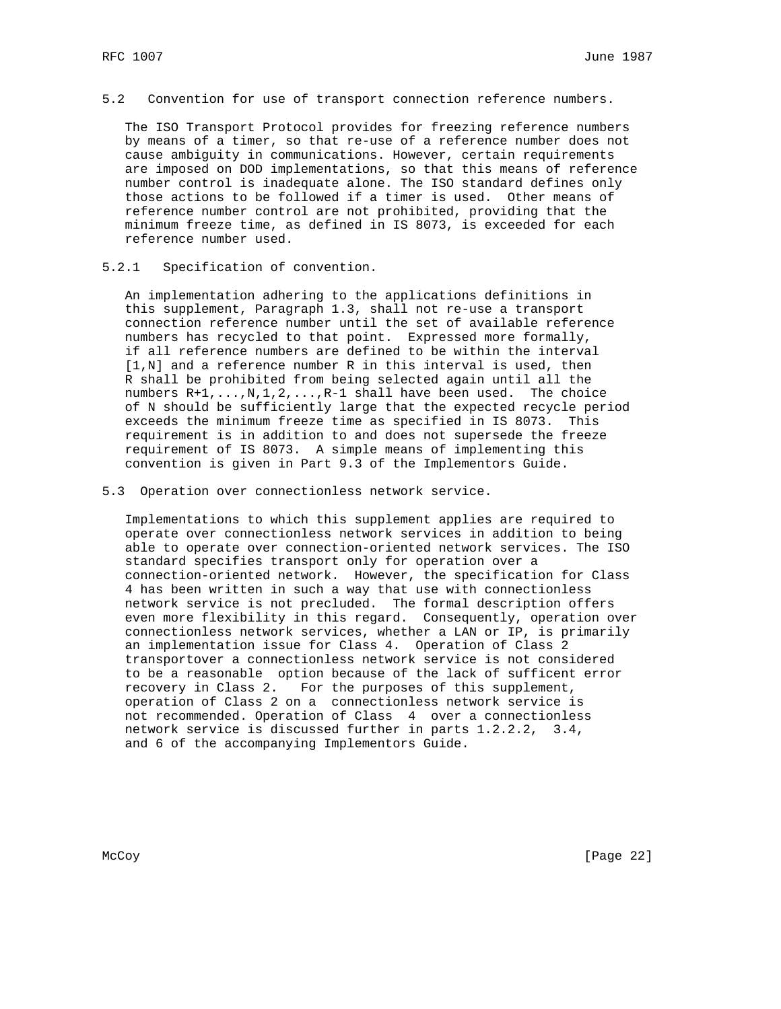5.2 Convention for use of transport connection reference numbers.

 The ISO Transport Protocol provides for freezing reference numbers by means of a timer, so that re-use of a reference number does not cause ambiguity in communications. However, certain requirements are imposed on DOD implementations, so that this means of reference number control is inadequate alone. The ISO standard defines only those actions to be followed if a timer is used. Other means of reference number control are not prohibited, providing that the minimum freeze time, as defined in IS 8073, is exceeded for each reference number used.

#### 5.2.1 Specification of convention.

 An implementation adhering to the applications definitions in this supplement, Paragraph 1.3, shall not re-use a transport connection reference number until the set of available reference numbers has recycled to that point. Expressed more formally, if all reference numbers are defined to be within the interval [1,N] and a reference number R in this interval is used, then R shall be prohibited from being selected again until all the numbers R+1,...,N,1,2,...,R-1 shall have been used. The choice of N should be sufficiently large that the expected recycle period exceeds the minimum freeze time as specified in IS 8073. This requirement is in addition to and does not supersede the freeze requirement of IS 8073. A simple means of implementing this convention is given in Part 9.3 of the Implementors Guide.

5.3 Operation over connectionless network service.

 Implementations to which this supplement applies are required to operate over connectionless network services in addition to being able to operate over connection-oriented network services. The ISO standard specifies transport only for operation over a connection-oriented network. However, the specification for Class 4 has been written in such a way that use with connectionless network service is not precluded. The formal description offers even more flexibility in this regard. Consequently, operation over connectionless network services, whether a LAN or IP, is primarily an implementation issue for Class 4. Operation of Class 2 transportover a connectionless network service is not considered to be a reasonable option because of the lack of sufficent error recovery in Class 2. For the purposes of this supplement, operation of Class 2 on a connectionless network service is not recommended. Operation of Class 4 over a connectionless network service is discussed further in parts 1.2.2.2, 3.4, and 6 of the accompanying Implementors Guide.

McCoy [Page 22]